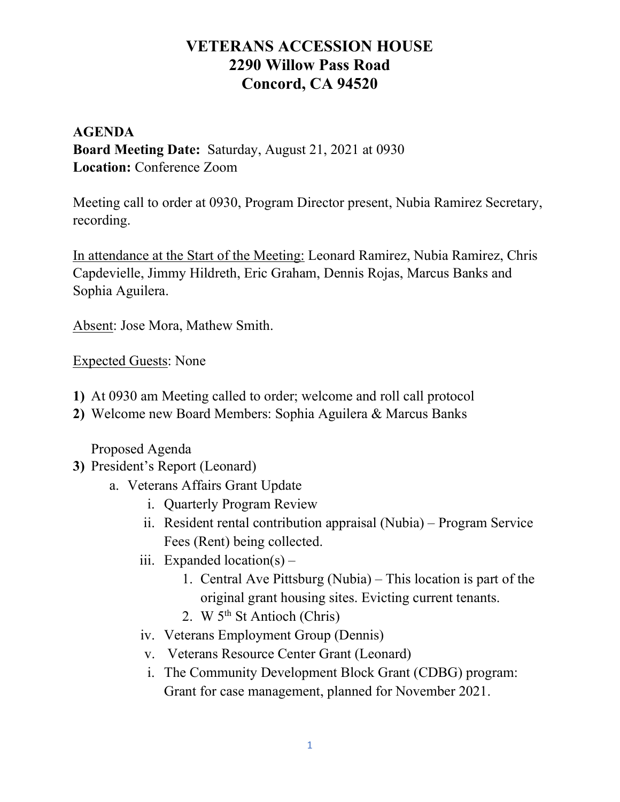# VETERANS ACCESSION HOUSE 2290 Willow Pass Road Concord, CA 94520

### AGENDA Board Meeting Date: Saturday, August 21, 2021 at 0930 Location: Conference Zoom

Meeting call to order at 0930, Program Director present, Nubia Ramirez Secretary, recording.

In attendance at the Start of the Meeting: Leonard Ramirez, Nubia Ramirez, Chris Capdevielle, Jimmy Hildreth, Eric Graham, Dennis Rojas, Marcus Banks and Sophia Aguilera.

Absent: Jose Mora, Mathew Smith.

Expected Guests: None

- 1) At 0930 am Meeting called to order; welcome and roll call protocol
- 2) Welcome new Board Members: Sophia Aguilera & Marcus Banks

Proposed Agenda

- 3) President's Report (Leonard)
	- a. Veterans Affairs Grant Update
		- i. Quarterly Program Review
		- ii. Resident rental contribution appraisal (Nubia) Program Service Fees (Rent) being collected.
		- iii. Expanded location(s)  $-$ 
			- 1. Central Ave Pittsburg (Nubia) This location is part of the original grant housing sites. Evicting current tenants.
			- 2. W  $5<sup>th</sup>$  St Antioch (Chris)
		- iv. Veterans Employment Group (Dennis)
		- v. Veterans Resource Center Grant (Leonard)
		- i. The Community Development Block Grant (CDBG) program: Grant for case management, planned for November 2021.